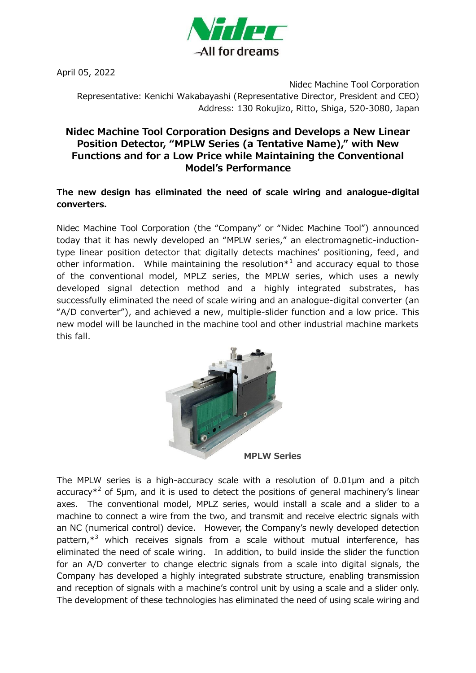

April 05, 2022

Nidec Machine Tool Corporation Representative: Kenichi Wakabayashi (Representative Director, President and CEO) Address: 130 Rokujizo, Ritto, Shiga, 520-3080, Japan

## **Nidec Machine Tool Corporation Designs and Develops a New Linear Position Detector, "MPLW Series (a Tentative Name)," with New Functions and for a Low Price while Maintaining the Conventional Model's Performance**

## **The new design has eliminated the need of scale wiring and analogue-digital converters.**

Nidec Machine Tool Corporation (the "Company" or "Nidec Machine Tool") announced today that it has newly developed an "MPLW series," an electromagnetic-inductiontype linear position detector that digitally detects machines' positioning, feed, and other information. While maintaining the resolution $*$ <sup>1</sup> and accuracy equal to those of the conventional model, MPLZ series, the MPLW series, which uses a newly developed signal detection method and a highly integrated substrates, has successfully eliminated the need of scale wiring and an analogue-digital converter (an "A/D converter"), and achieved a new, multiple-slider function and a low price. This new model will be launched in the machine tool and other industrial machine markets this fall.



The MPLW series is a high-accuracy scale with a resolution of 0.01µm and a pitch accuracy $*^2$  of 5µm, and it is used to detect the positions of general machinery's linear axes. The conventional model, MPLZ series, would install a scale and a slider to a machine to connect a wire from the two, and transmit and receive electric signals with an NC (numerical control) device. However, the Company's newly developed detection pattern,\*<sup>3</sup> which receives signals from a scale without mutual interference, has eliminated the need of scale wiring. In addition, to build inside the slider the function for an A/D converter to change electric signals from a scale into digital signals, the Company has developed a highly integrated substrate structure, enabling transmission and reception of signals with a machine's control unit by using a scale and a slider only. The development of these technologies has eliminated the need of using scale wiring and